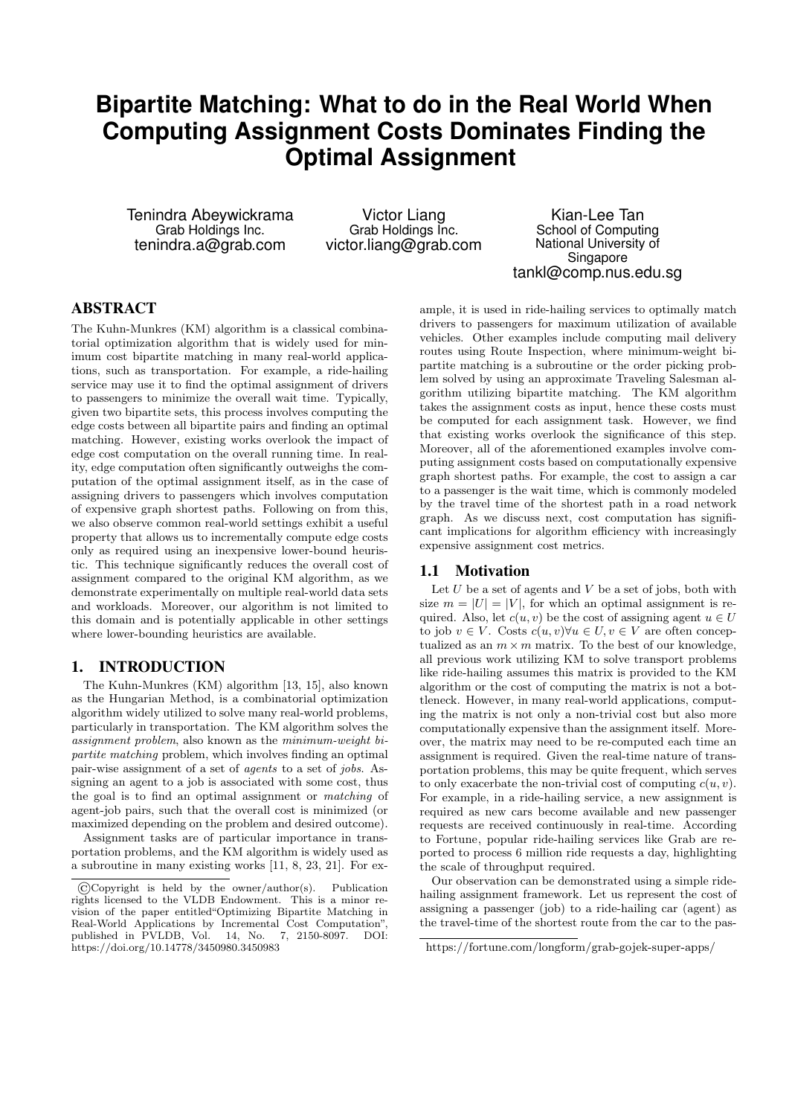# **Bipartite Matching: What to do in the Real World When Computing Assignment Costs Dominates Finding the Optimal Assignment**

Tenindra Abeywickrama Grab Holdings Inc. tenindra.a@grab.com

Victor Liang Grab Holdings Inc. victor.liang@grab.com

Kian-Lee Tan School of Computing National University of Singapore tankl@comp.nus.edu.sg

# ABSTRACT

The Kuhn-Munkres (KM) algorithm is a classical combinatorial optimization algorithm that is widely used for minimum cost bipartite matching in many real-world applications, such as transportation. For example, a ride-hailing service may use it to find the optimal assignment of drivers to passengers to minimize the overall wait time. Typically, given two bipartite sets, this process involves computing the edge costs between all bipartite pairs and finding an optimal matching. However, existing works overlook the impact of edge cost computation on the overall running time. In reality, edge computation often significantly outweighs the computation of the optimal assignment itself, as in the case of assigning drivers to passengers which involves computation of expensive graph shortest paths. Following on from this, we also observe common real-world settings exhibit a useful property that allows us to incrementally compute edge costs only as required using an inexpensive lower-bound heuristic. This technique significantly reduces the overall cost of assignment compared to the original KM algorithm, as we demonstrate experimentally on multiple real-world data sets and workloads. Moreover, our algorithm is not limited to this domain and is potentially applicable in other settings where lower-bounding heuristics are available.

# 1. INTRODUCTION

The Kuhn-Munkres (KM) algorithm [13, 15], also known as the Hungarian Method, is a combinatorial optimization algorithm widely utilized to solve many real-world problems, particularly in transportation. The KM algorithm solves the assignment problem, also known as the minimum-weight bipartite matching problem, which involves finding an optimal pair-wise assignment of a set of agents to a set of jobs. Assigning an agent to a job is associated with some cost, thus the goal is to find an optimal assignment or matching of agent-job pairs, such that the overall cost is minimized (or maximized depending on the problem and desired outcome).

Assignment tasks are of particular importance in transportation problems, and the KM algorithm is widely used as a subroutine in many existing works [11, 8, 23, 21]. For ex-

ample, it is used in ride-hailing services to optimally match drivers to passengers for maximum utilization of available vehicles. Other examples include computing mail delivery routes using Route Inspection, where minimum-weight bipartite matching is a subroutine or the order picking problem solved by using an approximate Traveling Salesman algorithm utilizing bipartite matching. The KM algorithm takes the assignment costs as input, hence these costs must be computed for each assignment task. However, we find that existing works overlook the significance of this step. Moreover, all of the aforementioned examples involve computing assignment costs based on computationally expensive graph shortest paths. For example, the cost to assign a car to a passenger is the wait time, which is commonly modeled by the travel time of the shortest path in a road network graph. As we discuss next, cost computation has significant implications for algorithm efficiency with increasingly expensive assignment cost metrics.

# 1.1 Motivation

Let  $U$  be a set of agents and  $V$  be a set of jobs, both with size  $m = |U| = |V|$ , for which an optimal assignment is required. Also, let  $c(u, v)$  be the cost of assigning agent  $u \in U$ to job  $v \in V$ . Costs  $c(u, v) \forall u \in U$ ,  $v \in V$  are often conceptualized as an  $m \times m$  matrix. To the best of our knowledge, all previous work utilizing KM to solve transport problems like ride-hailing assumes this matrix is provided to the KM algorithm or the cost of computing the matrix is not a bottleneck. However, in many real-world applications, computing the matrix is not only a non-trivial cost but also more computationally expensive than the assignment itself. Moreover, the matrix may need to be re-computed each time an assignment is required. Given the real-time nature of transportation problems, this may be quite frequent, which serves to only exacerbate the non-trivial cost of computing  $c(u, v)$ . For example, in a ride-hailing service, a new assignment is required as new cars become available and new passenger requests are received continuously in real-time. According to Fortune, popular ride-hailing services like Grab are reported to process 6 million ride requests a day, highlighting the scale of throughput required.

Our observation can be demonstrated using a simple ridehailing assignment framework. Let us represent the cost of assigning a passenger (job) to a ride-hailing car (agent) as the travel-time of the shortest route from the car to the pas-

<sup>©</sup>Copyright is held by the owner/author(s). Publication rights licensed to the VLDB Endowment. This is a minor revision of the paper entitled"Optimizing Bipartite Matching in Real-World Applications by Incremental Cost Computation", published in PVLDB, Vol. 14, No. 7, 2150-8097. DOI: https://doi.org/10.14778/3450980.3450983

https://fortune.com/longform/grab-gojek-super-apps/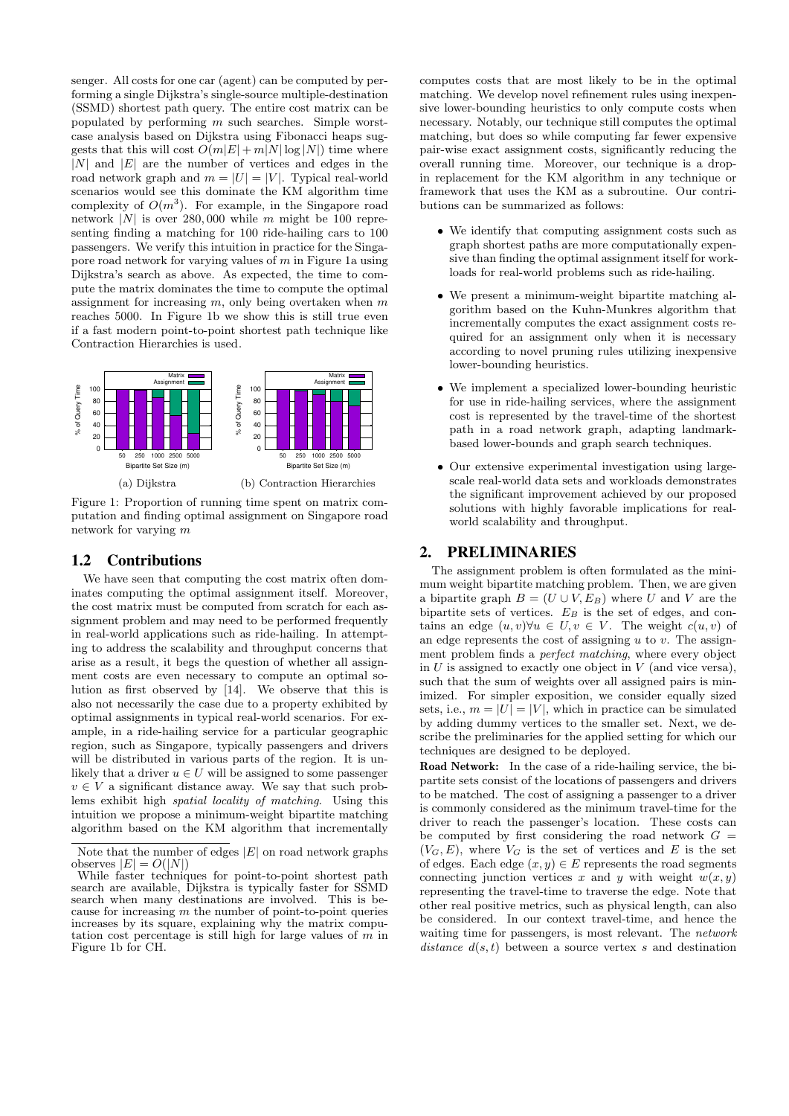senger. All costs for one car (agent) can be computed by performing a single Dijkstra's single-source multiple-destination (SSMD) shortest path query. The entire cost matrix can be populated by performing m such searches. Simple worstcase analysis based on Dijkstra using Fibonacci heaps suggests that this will cost  $O(m|E| + m|N|\log|N|)$  time where  $|N|$  and  $|E|$  are the number of vertices and edges in the road network graph and  $m = |U| = |V|$ . Typical real-world scenarios would see this dominate the KM algorithm time complexity of  $O(m^3)$ . For example, in the Singapore road network |N| is over 280,000 while m might be 100 representing finding a matching for 100 ride-hailing cars to 100 passengers. We verify this intuition in practice for the Singapore road network for varying values of  $m$  in Figure 1a using Dijkstra's search as above. As expected, the time to compute the matrix dominates the time to compute the optimal assignment for increasing  $m$ , only being overtaken when  $m$ reaches 5000. In Figure 1b we show this is still true even if a fast modern point-to-point shortest path technique like Contraction Hierarchies is used.



Figure 1: Proportion of running time spent on matrix computation and finding optimal assignment on Singapore road network for varying m

# 1.2 Contributions

We have seen that computing the cost matrix often dominates computing the optimal assignment itself. Moreover, the cost matrix must be computed from scratch for each assignment problem and may need to be performed frequently in real-world applications such as ride-hailing. In attempting to address the scalability and throughput concerns that arise as a result, it begs the question of whether all assignment costs are even necessary to compute an optimal solution as first observed by [14]. We observe that this is also not necessarily the case due to a property exhibited by optimal assignments in typical real-world scenarios. For example, in a ride-hailing service for a particular geographic region, such as Singapore, typically passengers and drivers will be distributed in various parts of the region. It is unlikely that a driver  $u \in U$  will be assigned to some passenger  $v \in V$  a significant distance away. We say that such problems exhibit high spatial locality of matching. Using this intuition we propose a minimum-weight bipartite matching algorithm based on the KM algorithm that incrementally

computes costs that are most likely to be in the optimal matching. We develop novel refinement rules using inexpensive lower-bounding heuristics to only compute costs when necessary. Notably, our technique still computes the optimal matching, but does so while computing far fewer expensive pair-wise exact assignment costs, significantly reducing the overall running time. Moreover, our technique is a dropin replacement for the KM algorithm in any technique or framework that uses the KM as a subroutine. Our contributions can be summarized as follows:

- We identify that computing assignment costs such as graph shortest paths are more computationally expensive than finding the optimal assignment itself for workloads for real-world problems such as ride-hailing.
- We present a minimum-weight bipartite matching algorithm based on the Kuhn-Munkres algorithm that incrementally computes the exact assignment costs required for an assignment only when it is necessary according to novel pruning rules utilizing inexpensive lower-bounding heuristics.
- We implement a specialized lower-bounding heuristic for use in ride-hailing services, where the assignment cost is represented by the travel-time of the shortest path in a road network graph, adapting landmarkbased lower-bounds and graph search techniques.
- Our extensive experimental investigation using largescale real-world data sets and workloads demonstrates the significant improvement achieved by our proposed solutions with highly favorable implications for realworld scalability and throughput.

# 2. PRELIMINARIES

The assignment problem is often formulated as the minimum weight bipartite matching problem. Then, we are given a bipartite graph  $B = (U \cup V, E_B)$  where U and V are the bipartite sets of vertices.  $E_B$  is the set of edges, and contains an edge  $(u, v) \forall u \in U, v \in V$ . The weight  $c(u, v)$  of an edge represents the cost of assigning  $u$  to  $v$ . The assignment problem finds a perfect matching, where every object in  $U$  is assigned to exactly one object in  $V$  (and vice versa), such that the sum of weights over all assigned pairs is minimized. For simpler exposition, we consider equally sized sets, i.e.,  $m = |U| = |V|$ , which in practice can be simulated by adding dummy vertices to the smaller set. Next, we describe the preliminaries for the applied setting for which our techniques are designed to be deployed.

Road Network: In the case of a ride-hailing service, the bipartite sets consist of the locations of passengers and drivers to be matched. The cost of assigning a passenger to a driver is commonly considered as the minimum travel-time for the driver to reach the passenger's location. These costs can be computed by first considering the road network  $G =$  $(V_G, E)$ , where  $V_G$  is the set of vertices and E is the set of edges. Each edge  $(x, y) \in E$  represents the road segments connecting junction vertices x and y with weight  $w(x, y)$ representing the travel-time to traverse the edge. Note that other real positive metrics, such as physical length, can also be considered. In our context travel-time, and hence the waiting time for passengers, is most relevant. The network distance  $d(s, t)$  between a source vertex s and destination

Note that the number of edges  $|E|$  on road network graphs observes  $|E| = O(|N|)$ 

While faster techniques for point-to-point shortest path search are available, Dijkstra is typically faster for SSMD search when many destinations are involved. This is because for increasing  $m$  the number of point-to-point queries increases by its square, explaining why the matrix computation cost percentage is still high for large values of  $m$  in Figure 1b for CH.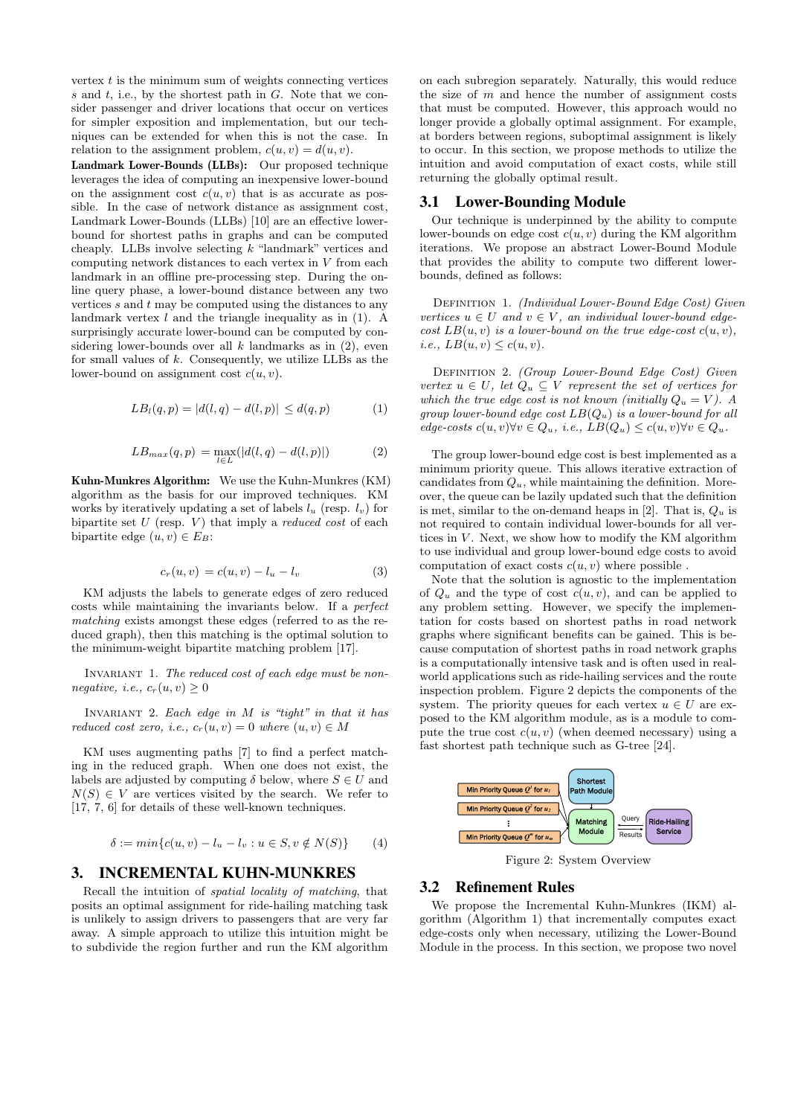vertex  $t$  is the minimum sum of weights connecting vertices  $s$  and  $t$ , i.e., by the shortest path in  $G$ . Note that we consider passenger and driver locations that occur on vertices for simpler exposition and implementation, but our techniques can be extended for when this is not the case. In relation to the assignment problem,  $c(u, v) = d(u, v)$ .

Landmark Lower-Bounds (LLBs): Our proposed technique leverages the idea of computing an inexpensive lower-bound on the assignment cost  $c(u, v)$  that is as accurate as possible. In the case of network distance as assignment cost, Landmark Lower-Bounds (LLBs) [10] are an effective lowerbound for shortest paths in graphs and can be computed cheaply. LLBs involve selecting k "landmark" vertices and computing network distances to each vertex in V from each landmark in an offline pre-processing step. During the online query phase, a lower-bound distance between any two vertices  $s$  and  $t$  may be computed using the distances to any landmark vertex  $l$  and the triangle inequality as in (1). A surprisingly accurate lower-bound can be computed by considering lower-bounds over all  $k$  landmarks as in  $(2)$ , even for small values of  $k$ . Consequently, we utilize LLBs as the lower-bound on assignment cost  $c(u, v)$ .

$$
LB_l(q, p) = |d(l, q) - d(l, p)| \le d(q, p)
$$
 (1)

$$
LB_{max}(q, p) = \max_{l \in L} (|d(l, q) - d(l, p)|)
$$
 (2)

Kuhn-Munkres Algorithm: We use the Kuhn-Munkres (KM) algorithm as the basis for our improved techniques. KM works by iteratively updating a set of labels  $l_u$  (resp.  $l_v$ ) for bipartite set  $U$  (resp.  $V$ ) that imply a *reduced cost* of each bipartite edge  $(u, v) \in E_B$ :

$$
c_r(u, v) = c(u, v) - l_u - l_v \tag{3}
$$

KM adjusts the labels to generate edges of zero reduced costs while maintaining the invariants below. If a perfect matching exists amongst these edges (referred to as the reduced graph), then this matching is the optimal solution to the minimum-weight bipartite matching problem [17].

INVARIANT 1. The reduced cost of each edge must be nonnegative, i.e.,  $c_r(u, v) \geq 0$ 

INVARIANT 2. Each edge in  $M$  is "tight" in that it has reduced cost zero, i.e.,  $c_r(u, v) = 0$  where  $(u, v) \in M$ 

KM uses augmenting paths [7] to find a perfect matching in the reduced graph. When one does not exist, the labels are adjusted by computing  $\delta$  below, where  $S \in U$  and  $N(S) \in V$  are vertices visited by the search. We refer to [17, 7, 6] for details of these well-known techniques.

$$
\delta := \min \{ c(u, v) - l_u - l_v : u \in S, v \notin N(S) \} \tag{4}
$$

## 3. INCREMENTAL KUHN-MUNKRES

Recall the intuition of spatial locality of matching, that posits an optimal assignment for ride-hailing matching task is unlikely to assign drivers to passengers that are very far away. A simple approach to utilize this intuition might be to subdivide the region further and run the KM algorithm

on each subregion separately. Naturally, this would reduce the size of  $m$  and hence the number of assignment costs that must be computed. However, this approach would no longer provide a globally optimal assignment. For example, at borders between regions, suboptimal assignment is likely to occur. In this section, we propose methods to utilize the intuition and avoid computation of exact costs, while still returning the globally optimal result.

## 3.1 Lower-Bounding Module

Our technique is underpinned by the ability to compute lower-bounds on edge cost  $c(u, v)$  during the KM algorithm iterations. We propose an abstract Lower-Bound Module that provides the ability to compute two different lowerbounds, defined as follows:

DEFINITION 1. (Individual Lower-Bound Edge Cost) Given vertices  $u \in U$  and  $v \in V$ , an individual lower-bound edge $cost$   $LB(u, v)$  is a lower-bound on the true edge-cost  $c(u, v)$ , i.e.,  $LB(u, v) \leq c(u, v)$ .

DEFINITION 2. (Group Lower-Bound Edge Cost) Given vertex  $u \in U$ , let  $Q_u \subseteq V$  represent the set of vertices for which the true edge cost is not known (initially  $Q_u = V$ ). A group lower-bound edge cost  $LB(Q_u)$  is a lower-bound for all edge-costs  $c(u, v) \forall v \in Q_u$ , i.e.,  $LB(Q_u) \leq c(u, v) \forall v \in Q_u$ .

The group lower-bound edge cost is best implemented as a minimum priority queue. This allows iterative extraction of candidates from  $Q_u$ , while maintaining the definition. Moreover, the queue can be lazily updated such that the definition is met, similar to the on-demand heaps in [2]. That is,  $Q_u$  is not required to contain individual lower-bounds for all vertices in  $V$ . Next, we show how to modify the KM algorithm to use individual and group lower-bound edge costs to avoid computation of exact costs  $c(u, v)$  where possible.

Note that the solution is agnostic to the implementation of  $Q_u$  and the type of cost  $c(u, v)$ , and can be applied to any problem setting. However, we specify the implementation for costs based on shortest paths in road network graphs where significant benefits can be gained. This is because computation of shortest paths in road network graphs is a computationally intensive task and is often used in realworld applications such as ride-hailing services and the route inspection problem. Figure 2 depicts the components of the system. The priority queues for each vertex  $u \in U$  are exposed to the KM algorithm module, as is a module to compute the true cost  $c(u, v)$  (when deemed necessary) using a fast shortest path technique such as G-tree [24].



Figure 2: System Overview

### 3.2 Refinement Rules

We propose the Incremental Kuhn-Munkres (IKM) algorithm (Algorithm 1) that incrementally computes exact edge-costs only when necessary, utilizing the Lower-Bound Module in the process. In this section, we propose two novel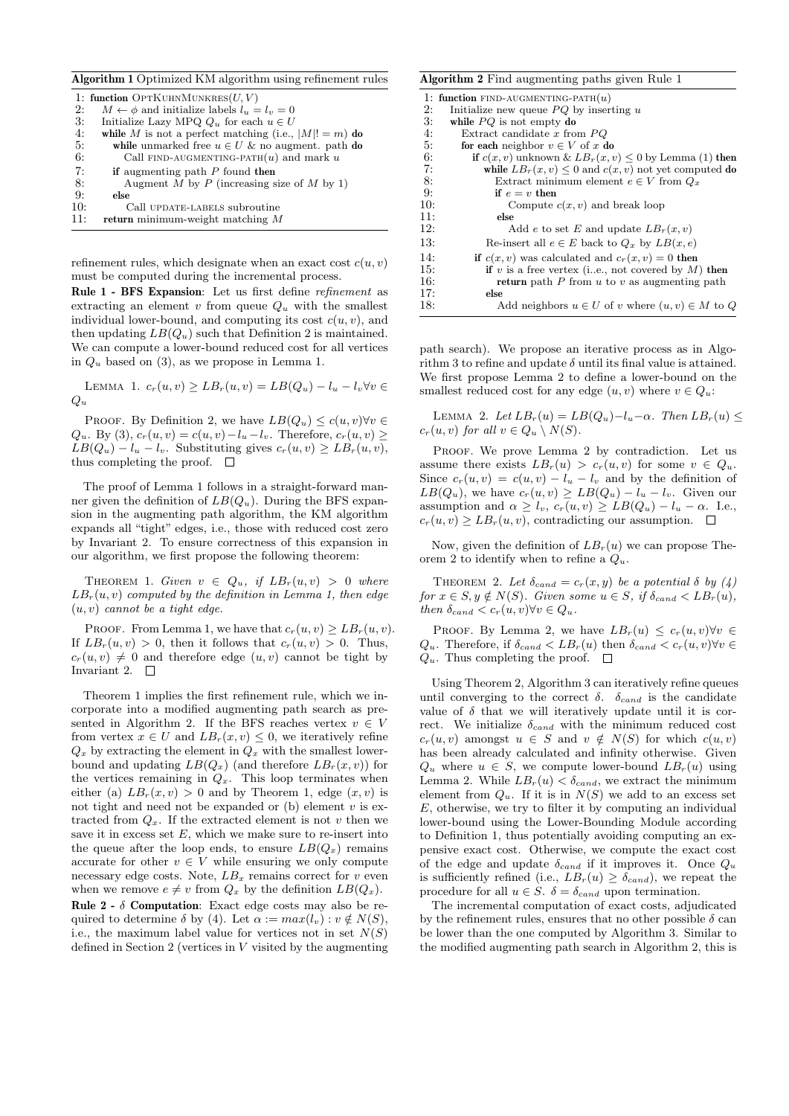| <b>Algorithm 1</b> Optimized KM algorithm using refinement rules |                                                           |  |  |  |
|------------------------------------------------------------------|-----------------------------------------------------------|--|--|--|
|                                                                  | 1: function OPTKUHNMUNKRES $(U, V)$                       |  |  |  |
| 2:                                                               | $M \leftarrow \phi$ and initialize labels $l_u = l_v = 0$ |  |  |  |
| 3:                                                               | Initialize Lazy MPQ $Q_u$ for each $u \in U$              |  |  |  |
| 4:                                                               | while M is not a perfect matching (i.e., $ M ! = m$ ) do  |  |  |  |
| 5:                                                               | while unmarked free $u \in U$ & no augment. path do       |  |  |  |
| 6:                                                               | Call FIND-AUGMENTING-PATH $(u)$ and mark u                |  |  |  |
| 7:                                                               | if augmenting path $P$ found then                         |  |  |  |
| 8:                                                               | Augment M by P (increasing size of M by 1)                |  |  |  |
| 9:                                                               | else                                                      |  |  |  |
| 10:                                                              | Call UPDATE-LABELS subroutine                             |  |  |  |
| 11:                                                              | return minimum-weight matching $M$                        |  |  |  |
|                                                                  |                                                           |  |  |  |

refinement rules, which designate when an exact cost  $c(u, v)$ must be computed during the incremental process.

Rule 1 - BFS Expansion: Let us first define refinement as extracting an element  $v$  from queue  $Q_u$  with the smallest individual lower-bound, and computing its cost  $c(u, v)$ , and then updating  $LB(Q_u)$  such that Definition 2 is maintained. We can compute a lower-bound reduced cost for all vertices in  $Q_u$  based on (3), as we propose in Lemma 1.

LEMMA 1.  $c_r(u, v) \geq LB_r(u, v) = LB(Q_u) - l_u - l_v \forall v \in$  $Q_u$ 

PROOF. By Definition 2, we have  $LB(Q_u) \leq c(u, v) \forall v \in$  $Q_u$ . By (3),  $c_r(u, v) = c(u, v) - l_u - l_v$ . Therefore,  $c_r(u, v) \ge$  $LB(Q_u) - l_u - l_v$ . Substituting gives  $c_r(u, v) \geq LB_r(u, v)$ , thus completing the proof.  $\square$ 

The proof of Lemma 1 follows in a straight-forward manner given the definition of  $LB(Q_u)$ . During the BFS expansion in the augmenting path algorithm, the KM algorithm expands all "tight" edges, i.e., those with reduced cost zero by Invariant 2. To ensure correctness of this expansion in our algorithm, we first propose the following theorem:

THEOREM 1. Given  $v \in Q_u$ , if  $LB_r(u, v) > 0$  where  $LB_r(u, v)$  computed by the definition in Lemma 1, then edge  $(u, v)$  cannot be a tight edge.

PROOF. From Lemma 1, we have that  $c_r(u, v) \geq LB_r(u, v)$ . If  $LB_r(u, v) > 0$ , then it follows that  $c_r(u, v) > 0$ . Thus,  $c_r(u, v) \neq 0$  and therefore edge  $(u, v)$  cannot be tight by Invariant 2.  $\Box$ 

Theorem 1 implies the first refinement rule, which we incorporate into a modified augmenting path search as presented in Algorithm 2. If the BFS reaches vertex  $v \in V$ from vertex  $x \in U$  and  $LB_r(x, v) \leq 0$ , we iteratively refine  $Q_x$  by extracting the element in  $Q_x$  with the smallest lowerbound and updating  $LB(Q_x)$  (and therefore  $LB_r(x, v)$ ) for the vertices remaining in  $Q_x$ . This loop terminates when either (a)  $LB<sub>r</sub>(x, v) > 0$  and by Theorem 1, edge  $(x, v)$  is not tight and need not be expanded or  $(b)$  element  $v$  is extracted from  $Q_x$ . If the extracted element is not v then we save it in excess set  $E$ , which we make sure to re-insert into the queue after the loop ends, to ensure  $LB(Q_x)$  remains accurate for other  $v \in V$  while ensuring we only compute necessary edge costs. Note,  $LB_x$  remains correct for v even when we remove  $e \neq v$  from  $Q_x$  by the definition  $LB(Q_x)$ . Rule  $2 - \delta$  Computation: Exact edge costs may also be required to determine  $\delta$  by (4). Let  $\alpha := max(l_v) : v \notin N(S)$ , i.e., the maximum label value for vertices not in set  $N(S)$ defined in Section 2 (vertices in  $V$  visited by the augmenting

|     | <b>Algorithm 2</b> Find augmenting paths given Rule 1        |  |  |  |  |
|-----|--------------------------------------------------------------|--|--|--|--|
|     | 1: function FIND-AUGMENTING-PATH $(u)$                       |  |  |  |  |
| 2:  | Initialize new queue $PQ$ by inserting u                     |  |  |  |  |
| 3:  | while $PQ$ is not empty do                                   |  |  |  |  |
| 4:  | Extract candidate $x$ from $PQ$                              |  |  |  |  |
| 5:  | for each neighbor $v \in V$ of x do                          |  |  |  |  |
| 6:  | if $c(x, v)$ unknown & $LB_r(x, v) \leq 0$ by Lemma (1) then |  |  |  |  |
| 7:  | while $LB_r(x, v) \leq 0$ and $c(x, v)$ not yet computed do  |  |  |  |  |
| 8:  | Extract minimum element $e \in V$ from $Q_x$                 |  |  |  |  |
| 9:  | if $e = v$ then                                              |  |  |  |  |
| 10: | Compute $c(x, v)$ and break loop                             |  |  |  |  |
| 11: | else                                                         |  |  |  |  |
| 12: | Add e to set E and update $LB_r(x, v)$                       |  |  |  |  |
| 13: | Re-insert all $e \in E$ back to $Q_x$ by $LB(x,e)$           |  |  |  |  |
| 14: | if $c(x, v)$ was calculated and $c_r(x, v) = 0$ then         |  |  |  |  |
| 15: | if v is a free vertex (i.e., not covered by $M$ ) then       |  |  |  |  |
| 16: | <b>return</b> path P from u to v as augmenting path          |  |  |  |  |
| 17: | else                                                         |  |  |  |  |
| 18: | Add neighbors $u \in U$ of v where $(u, v) \in M$ to Q       |  |  |  |  |

path search). We propose an iterative process as in Algorithm 3 to refine and update  $\delta$  until its final value is attained. We first propose Lemma 2 to define a lower-bound on the smallest reduced cost for any edge  $(u, v)$  where  $v \in Q_u$ :

LEMMA 2. Let  $LB_r(u) = LB(Q_u) - l_u - \alpha$ . Then  $LB_r(u) \leq$  $c_r(u, v)$  for all  $v \in Q_u \setminus N(S)$ .

PROOF. We prove Lemma 2 by contradiction. Let us assume there exists  $LB_r(u) > c_r(u, v)$  for some  $v \in Q_u$ . Since  $c_r(u, v) = c(u, v) - l_u - l_v$  and by the definition of  $LB(Q_u)$ , we have  $c_r(u, v) \geq LB(Q_u) - l_u - l_v$ . Given our assumption and  $\alpha \geq l_v$ ,  $c_r(u, v) \geq LB(Q_u) - l_u - \alpha$ . I.e.,  $c_r(u, v) > LB_r(u, v)$ , contradicting our assumption.  $\Box$ 

Now, given the definition of  $LB<sub>r</sub>(u)$  we can propose Theorem 2 to identify when to refine a  $Q_u$ .

THEOREM 2. Let  $\delta_{cand} = c_r(x, y)$  be a potential  $\delta$  by  $(4)$ for  $x \in S, y \notin N(S)$ . Given some  $u \in S$ , if  $\delta_{cand} < LB_r(u)$ , then  $\delta_{cand} < c_r(u, v) \forall v \in Q_u$ .

PROOF. By Lemma 2, we have  $LB_r(u) \leq c_r(u,v) \forall v \in$  $Q_u$ . Therefore, if  $\delta_{cand} < LB_r(u)$  then  $\delta_{cand} < c_r(u, v)$  $\forall v \in$  $Q_u$ . Thus completing the proof.  $\Box$ 

Using Theorem 2, Algorithm 3 can iteratively refine queues until converging to the correct  $\delta$ .  $\delta_{cand}$  is the candidate value of  $\delta$  that we will iteratively update until it is correct. We initialize  $\delta_{cand}$  with the minimum reduced cost  $c_r(u, v)$  amongst  $u \in S$  and  $v \notin N(S)$  for which  $c(u, v)$ has been already calculated and infinity otherwise. Given  $Q_u$  where  $u \in S$ , we compute lower-bound  $LB_r(u)$  using Lemma 2. While  $LB_r(u) < \delta_{cand}$ , we extract the minimum element from  $Q_u$ . If it is in  $N(S)$  we add to an excess set  $E$ , otherwise, we try to filter it by computing an individual lower-bound using the Lower-Bounding Module according to Definition 1, thus potentially avoiding computing an expensive exact cost. Otherwise, we compute the exact cost of the edge and update  $\delta_{cand}$  if it improves it. Once  $Q_u$ is sufficiently refined (i.e.,  $LB_r(u) \geq \delta_{cand}$ ), we repeat the procedure for all  $u \in S$ .  $\delta = \delta_{cand}$  upon termination.

The incremental computation of exact costs, adjudicated by the refinement rules, ensures that no other possible  $\delta$  can be lower than the one computed by Algorithm 3. Similar to the modified augmenting path search in Algorithm 2, this is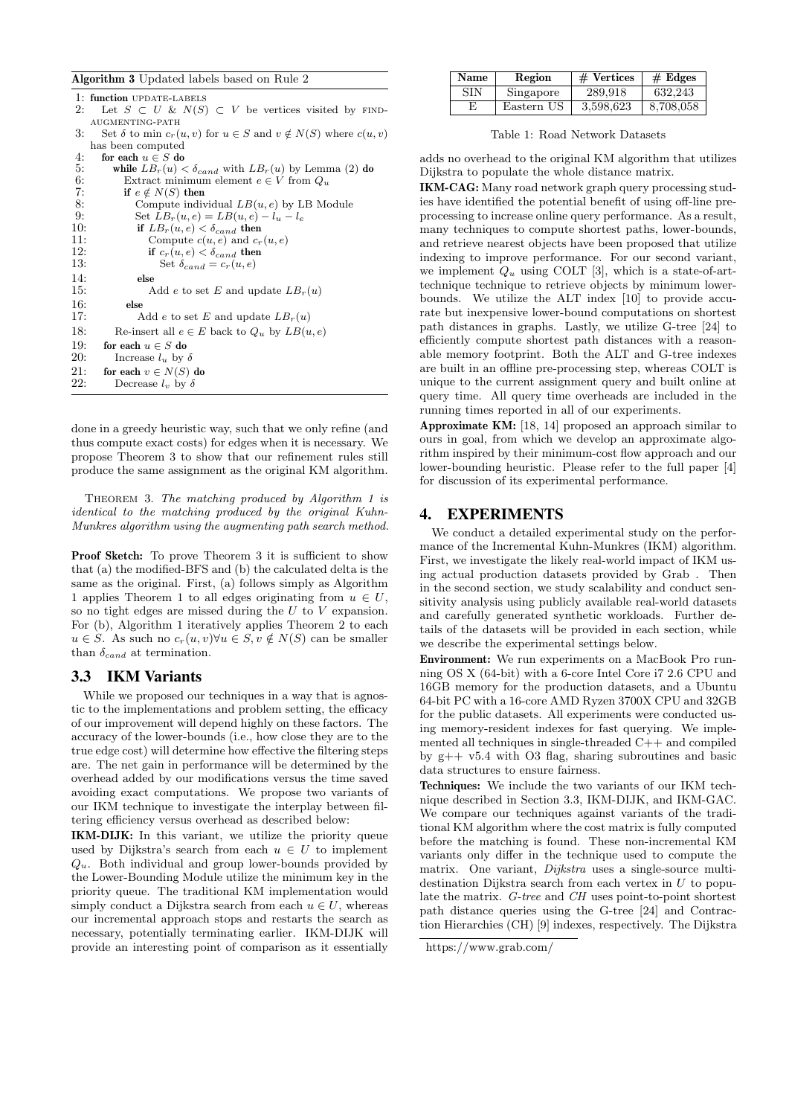|     | <b>Algorithm 3</b> Updated labels based on Rule 2                                 |
|-----|-----------------------------------------------------------------------------------|
|     | 1: function UPDATE-LABELS                                                         |
| 2:  | Let $S \subset U \& N(S) \subset V$ be vertices visited by FIND-                  |
|     | AUGMENTING-PATH                                                                   |
| 3:  | Set $\delta$ to min $c_r(u, v)$ for $u \in S$ and $v \notin N(S)$ where $c(u, v)$ |
|     | has been computed                                                                 |
| 4:  | for each $u \in S$ do                                                             |
| 5:  | while $LB_r(u) < \delta_{cand}$ with $LB_r(u)$ by Lemma (2) do                    |
| 6:  | Extract minimum element $e \in V$ from $Q_u$                                      |
| 7:  | if $e \notin N(S)$ then                                                           |
| 8:  | Compute individual $LB(u, e)$ by LB Module                                        |
| 9:  | Set $LB_r(u, e) = LB(u, e) - l_u - l_e$                                           |
| 10: | if $LB_r(u,e) < \delta_{cand}$ then                                               |
| 11: | Compute $c(u, e)$ and $c_r(u, e)$                                                 |
| 12: | if $c_r(u, e) < \delta_{cand}$ then                                               |
| 13: | Set $\delta_{cand} = c_r(u, e)$                                                   |
| 14: | else                                                                              |
| 15: | Add e to set E and update $LBr(u)$                                                |
| 16: | else                                                                              |
| 17: | Add e to set E and update $LBr(u)$                                                |
| 18: | Re-insert all $e \in E$ back to $Q_u$ by $LB(u, e)$                               |
| 19: | for each $u \in S$ do                                                             |
| 20: | Increase $l_u$ by $\delta$                                                        |
| 21: | for each $v \in N(S)$ do                                                          |
| 22: | Decrease $l_v$ by $\delta$                                                        |
|     |                                                                                   |

done in a greedy heuristic way, such that we only refine (and thus compute exact costs) for edges when it is necessary. We propose Theorem 3 to show that our refinement rules still produce the same assignment as the original KM algorithm.

Theorem 3. The matching produced by Algorithm 1 is identical to the matching produced by the original Kuhn-Munkres algorithm using the augmenting path search method.

Proof Sketch: To prove Theorem 3 it is sufficient to show that (a) the modified-BFS and (b) the calculated delta is the same as the original. First, (a) follows simply as Algorithm 1 applies Theorem 1 to all edges originating from  $u \in U$ , so no tight edges are missed during the  $U$  to  $V$  expansion. For (b), Algorithm 1 iteratively applies Theorem 2 to each  $u \in S$ . As such no  $c_r(u, v) \forall u \in S$ ,  $v \notin N(S)$  can be smaller than  $\delta_{cand}$  at termination.

# 3.3 IKM Variants

While we proposed our techniques in a way that is agnostic to the implementations and problem setting, the efficacy of our improvement will depend highly on these factors. The accuracy of the lower-bounds (i.e., how close they are to the true edge cost) will determine how effective the filtering steps are. The net gain in performance will be determined by the overhead added by our modifications versus the time saved avoiding exact computations. We propose two variants of our IKM technique to investigate the interplay between filtering efficiency versus overhead as described below:

IKM-DIJK: In this variant, we utilize the priority queue used by Dijkstra's search from each  $u \in U$  to implement  $Q_u$ . Both individual and group lower-bounds provided by the Lower-Bounding Module utilize the minimum key in the priority queue. The traditional KM implementation would simply conduct a Dijkstra search from each  $u \in U$ , whereas our incremental approach stops and restarts the search as necessary, potentially terminating earlier. IKM-DIJK will provide an interesting point of comparison as it essentially

| <b>Name</b> | Region     | $#$ Vertices | # Edges   |
|-------------|------------|--------------|-----------|
| SIN         | Singapore  | 289.918      | 632.243   |
| E           | Eastern US | 3.598.623    | 8,708,058 |

Table 1: Road Network Datasets

adds no overhead to the original KM algorithm that utilizes Dijkstra to populate the whole distance matrix.

IKM-CAG: Many road network graph query processing studies have identified the potential benefit of using off-line preprocessing to increase online query performance. As a result, many techniques to compute shortest paths, lower-bounds, and retrieve nearest objects have been proposed that utilize indexing to improve performance. For our second variant, we implement  $Q_u$  using COLT [3], which is a state-of-arttechnique technique to retrieve objects by minimum lowerbounds. We utilize the ALT index [10] to provide accurate but inexpensive lower-bound computations on shortest path distances in graphs. Lastly, we utilize G-tree [24] to efficiently compute shortest path distances with a reasonable memory footprint. Both the ALT and G-tree indexes are built in an offline pre-processing step, whereas COLT is unique to the current assignment query and built online at query time. All query time overheads are included in the running times reported in all of our experiments.

Approximate KM: [18, 14] proposed an approach similar to ours in goal, from which we develop an approximate algorithm inspired by their minimum-cost flow approach and our lower-bounding heuristic. Please refer to the full paper [4] for discussion of its experimental performance.

# 4. EXPERIMENTS

We conduct a detailed experimental study on the performance of the Incremental Kuhn-Munkres (IKM) algorithm. First, we investigate the likely real-world impact of IKM using actual production datasets provided by Grab . Then in the second section, we study scalability and conduct sensitivity analysis using publicly available real-world datasets and carefully generated synthetic workloads. Further details of the datasets will be provided in each section, while we describe the experimental settings below.

Environment: We run experiments on a MacBook Pro running OS X (64-bit) with a 6-core Intel Core i7 2.6 CPU and 16GB memory for the production datasets, and a Ubuntu 64-bit PC with a 16-core AMD Ryzen 3700X CPU and 32GB for the public datasets. All experiments were conducted using memory-resident indexes for fast querying. We implemented all techniques in single-threaded C++ and compiled by g++ v5.4 with O3 flag, sharing subroutines and basic data structures to ensure fairness.

Techniques: We include the two variants of our IKM technique described in Section 3.3, IKM-DIJK, and IKM-GAC. We compare our techniques against variants of the traditional KM algorithm where the cost matrix is fully computed before the matching is found. These non-incremental KM variants only differ in the technique used to compute the matrix. One variant, Dijkstra uses a single-source multidestination Dijkstra search from each vertex in U to populate the matrix. G-tree and CH uses point-to-point shortest path distance queries using the G-tree [24] and Contraction Hierarchies (CH) [9] indexes, respectively. The Dijkstra

https://www.grab.com/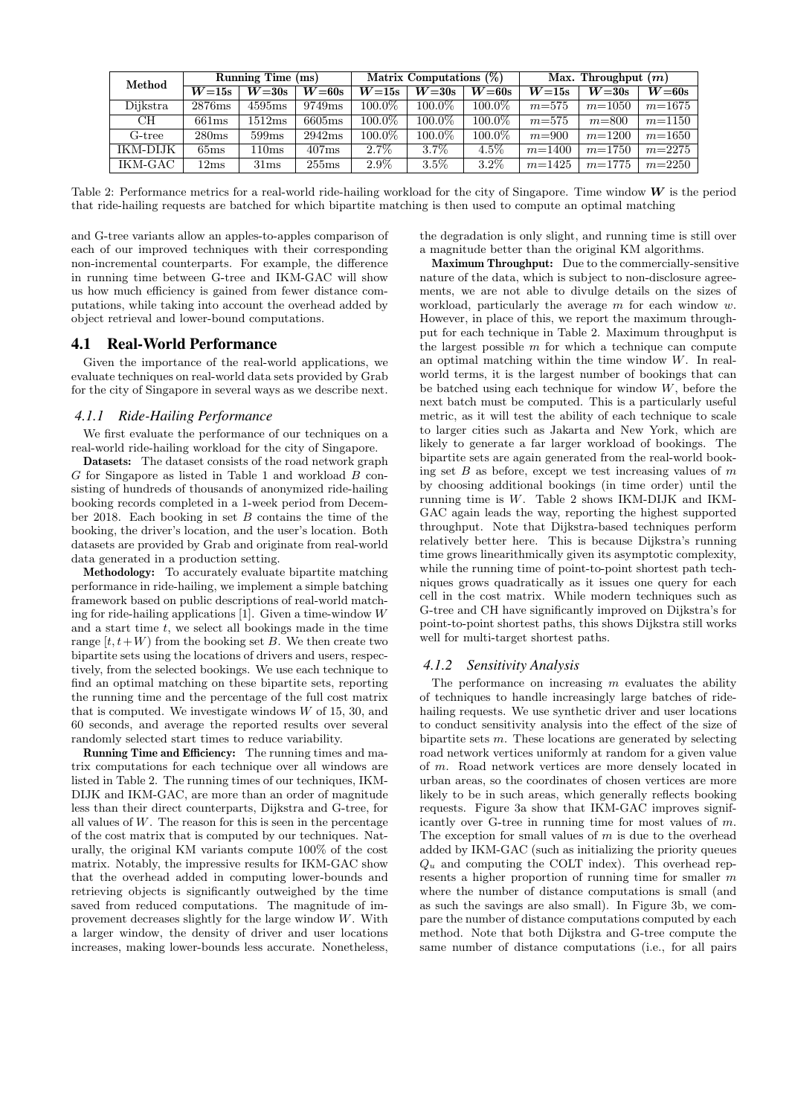| Method   | Running Time (ms) |         | Matrix Computations $(\%)$ |           |         | Max. Throughput $(m)$ |            |            |            |
|----------|-------------------|---------|----------------------------|-----------|---------|-----------------------|------------|------------|------------|
|          | $W=15s$           | $W=30s$ | $W=60s$                    | $W=15s$   | $W=30s$ | $W=60s$               | $W=15s$    | $W=30s$    | $W=60s$    |
| Dijkstra | 2876ms            | 4595ms  | 9749 <sub>ms</sub>         | $100.0\%$ | 100.0\% | $100.0\%$             | $m = 575$  | $m = 1050$ | $m = 1675$ |
| CН       | 661ms             | 1512ms  | 6605ms                     | 100.0%    | 100.0%  | 100.0%                | $m = 575$  | $m = 800$  | $m = 1150$ |
| G-tree   | 280ms             | 599ms   | 2942ms                     | 100.0%    | 100.0%  | $100.0\%$             | $m = 900$  | $m = 1200$ | $m = 1650$ |
| IKM-DIJK | 65ms              | 110ms   | 407ms                      | $2.7\%$   | $3.7\%$ | $4.5\%$               | $m = 1400$ | $m = 1750$ | $m=2275$   |
| IKM-GAC  | 12ms              | 31ms    | 255ms                      | $2.9\%$   | $3.5\%$ | $3.2\%$               | $m = 1425$ | $m = 1775$ | $m=2250$   |

Table 2: Performance metrics for a real-world ride-hailing workload for the city of Singapore. Time window  $W$  is the period that ride-hailing requests are batched for which bipartite matching is then used to compute an optimal matching

and G-tree variants allow an apples-to-apples comparison of each of our improved techniques with their corresponding non-incremental counterparts. For example, the difference in running time between G-tree and IKM-GAC will show us how much efficiency is gained from fewer distance computations, while taking into account the overhead added by object retrieval and lower-bound computations.

## 4.1 Real-World Performance

Given the importance of the real-world applications, we evaluate techniques on real-world data sets provided by Grab for the city of Singapore in several ways as we describe next.

## *4.1.1 Ride-Hailing Performance*

We first evaluate the performance of our techniques on a real-world ride-hailing workload for the city of Singapore.

Datasets: The dataset consists of the road network graph G for Singapore as listed in Table 1 and workload B consisting of hundreds of thousands of anonymized ride-hailing booking records completed in a 1-week period from December 2018. Each booking in set  $B$  contains the time of the booking, the driver's location, and the user's location. Both datasets are provided by Grab and originate from real-world data generated in a production setting.

Methodology: To accurately evaluate bipartite matching performance in ride-hailing, we implement a simple batching framework based on public descriptions of real-world matching for ride-hailing applications [1]. Given a time-window W and a start time  $t$ , we select all bookings made in the time range  $[t, t+W)$  from the booking set B. We then create two bipartite sets using the locations of drivers and users, respectively, from the selected bookings. We use each technique to find an optimal matching on these bipartite sets, reporting the running time and the percentage of the full cost matrix that is computed. We investigate windows  $W$  of 15, 30, and 60 seconds, and average the reported results over several randomly selected start times to reduce variability.

Running Time and Efficiency: The running times and matrix computations for each technique over all windows are listed in Table 2. The running times of our techniques, IKM-DIJK and IKM-GAC, are more than an order of magnitude less than their direct counterparts, Dijkstra and G-tree, for all values of  $W$ . The reason for this is seen in the percentage of the cost matrix that is computed by our techniques. Naturally, the original KM variants compute 100% of the cost matrix. Notably, the impressive results for IKM-GAC show that the overhead added in computing lower-bounds and retrieving objects is significantly outweighed by the time saved from reduced computations. The magnitude of improvement decreases slightly for the large window W. With a larger window, the density of driver and user locations increases, making lower-bounds less accurate. Nonetheless, the degradation is only slight, and running time is still over a magnitude better than the original KM algorithms.

Maximum Throughput: Due to the commercially-sensitive nature of the data, which is subject to non-disclosure agreements, we are not able to divulge details on the sizes of workload, particularly the average  $m$  for each window  $w$ . However, in place of this, we report the maximum throughput for each technique in Table 2. Maximum throughput is the largest possible  $m$  for which a technique can compute an optimal matching within the time window W. In realworld terms, it is the largest number of bookings that can be batched using each technique for window  $W$ , before the next batch must be computed. This is a particularly useful metric, as it will test the ability of each technique to scale to larger cities such as Jakarta and New York, which are likely to generate a far larger workload of bookings. The bipartite sets are again generated from the real-world booking set  $B$  as before, except we test increasing values of  $m$ by choosing additional bookings (in time order) until the running time is W. Table 2 shows IKM-DIJK and IKM-GAC again leads the way, reporting the highest supported throughput. Note that Dijkstra-based techniques perform relatively better here. This is because Dijkstra's running time grows linearithmically given its asymptotic complexity, while the running time of point-to-point shortest path techniques grows quadratically as it issues one query for each cell in the cost matrix. While modern techniques such as G-tree and CH have significantly improved on Dijkstra's for point-to-point shortest paths, this shows Dijkstra still works well for multi-target shortest paths.

### *4.1.2 Sensitivity Analysis*

The performance on increasing  $m$  evaluates the ability of techniques to handle increasingly large batches of ridehailing requests. We use synthetic driver and user locations to conduct sensitivity analysis into the effect of the size of bipartite sets  $m$ . These locations are generated by selecting road network vertices uniformly at random for a given value of m. Road network vertices are more densely located in urban areas, so the coordinates of chosen vertices are more likely to be in such areas, which generally reflects booking requests. Figure 3a show that IKM-GAC improves significantly over G-tree in running time for most values of m. The exception for small values of  $m$  is due to the overhead added by IKM-GAC (such as initializing the priority queues  $Q_u$  and computing the COLT index). This overhead represents a higher proportion of running time for smaller m where the number of distance computations is small (and as such the savings are also small). In Figure 3b, we compare the number of distance computations computed by each method. Note that both Dijkstra and G-tree compute the same number of distance computations (i.e., for all pairs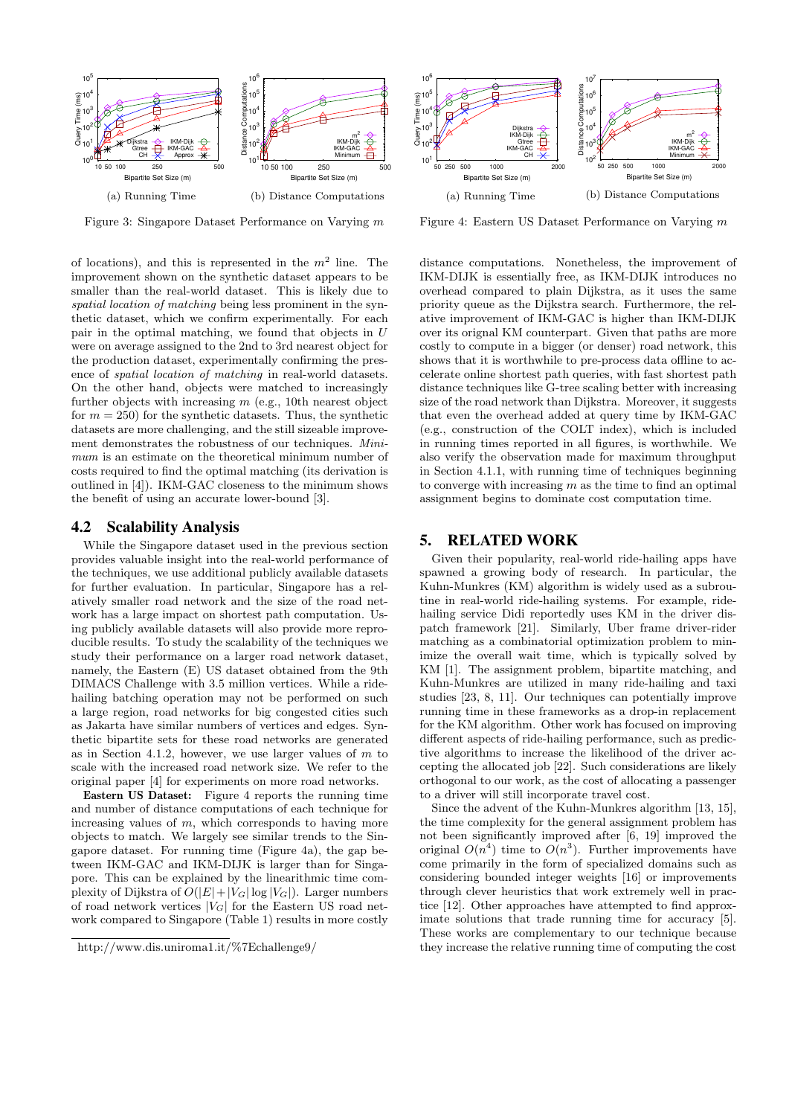

Figure 3: Singapore Dataset Performance on Varying m

of locations), and this is represented in the  $m<sup>2</sup>$  line. The improvement shown on the synthetic dataset appears to be smaller than the real-world dataset. This is likely due to spatial location of matching being less prominent in the synthetic dataset, which we confirm experimentally. For each pair in the optimal matching, we found that objects in U were on average assigned to the 2nd to 3rd nearest object for the production dataset, experimentally confirming the presence of spatial location of matching in real-world datasets. On the other hand, objects were matched to increasingly further objects with increasing  $m$  (e.g., 10th nearest object for  $m = 250$  for the synthetic datasets. Thus, the synthetic datasets are more challenging, and the still sizeable improvement demonstrates the robustness of our techniques. Minimum is an estimate on the theoretical minimum number of costs required to find the optimal matching (its derivation is outlined in [4]). IKM-GAC closeness to the minimum shows the benefit of using an accurate lower-bound [3].

# 4.2 Scalability Analysis

While the Singapore dataset used in the previous section provides valuable insight into the real-world performance of the techniques, we use additional publicly available datasets for further evaluation. In particular, Singapore has a relatively smaller road network and the size of the road network has a large impact on shortest path computation. Using publicly available datasets will also provide more reproducible results. To study the scalability of the techniques we study their performance on a larger road network dataset, namely, the Eastern (E) US dataset obtained from the 9th DIMACS Challenge with 3.5 million vertices. While a ridehailing batching operation may not be performed on such a large region, road networks for big congested cities such as Jakarta have similar numbers of vertices and edges. Synthetic bipartite sets for these road networks are generated as in Section 4.1.2, however, we use larger values of  $m$  to scale with the increased road network size. We refer to the original paper [4] for experiments on more road networks.

Eastern US Dataset: Figure 4 reports the running time and number of distance computations of each technique for increasing values of  $m$ , which corresponds to having more objects to match. We largely see similar trends to the Singapore dataset. For running time (Figure 4a), the gap between IKM-GAC and IKM-DIJK is larger than for Singapore. This can be explained by the linearithmic time complexity of Dijkstra of  $O(|E|+|V_G| \log |V_G|)$ . Larger numbers of road network vertices  $|V_G|$  for the Eastern US road network compared to Singapore (Table 1) results in more costly



Figure 4: Eastern US Dataset Performance on Varying m

distance computations. Nonetheless, the improvement of IKM-DIJK is essentially free, as IKM-DIJK introduces no overhead compared to plain Dijkstra, as it uses the same priority queue as the Dijkstra search. Furthermore, the relative improvement of IKM-GAC is higher than IKM-DIJK over its orignal KM counterpart. Given that paths are more costly to compute in a bigger (or denser) road network, this shows that it is worthwhile to pre-process data offline to accelerate online shortest path queries, with fast shortest path distance techniques like G-tree scaling better with increasing size of the road network than Dijkstra. Moreover, it suggests that even the overhead added at query time by IKM-GAC (e.g., construction of the COLT index), which is included in running times reported in all figures, is worthwhile. We also verify the observation made for maximum throughput in Section 4.1.1, with running time of techniques beginning to converge with increasing  $m$  as the time to find an optimal assignment begins to dominate cost computation time.

## 5. RELATED WORK

Given their popularity, real-world ride-hailing apps have spawned a growing body of research. In particular, the Kuhn-Munkres (KM) algorithm is widely used as a subroutine in real-world ride-hailing systems. For example, ridehailing service Didi reportedly uses KM in the driver dispatch framework [21]. Similarly, Uber frame driver-rider matching as a combinatorial optimization problem to minimize the overall wait time, which is typically solved by KM [1]. The assignment problem, bipartite matching, and Kuhn-Munkres are utilized in many ride-hailing and taxi studies [23, 8, 11]. Our techniques can potentially improve running time in these frameworks as a drop-in replacement for the KM algorithm. Other work has focused on improving different aspects of ride-hailing performance, such as predictive algorithms to increase the likelihood of the driver accepting the allocated job [22]. Such considerations are likely orthogonal to our work, as the cost of allocating a passenger to a driver will still incorporate travel cost.

Since the advent of the Kuhn-Munkres algorithm [13, 15], the time complexity for the general assignment problem has not been significantly improved after [6, 19] improved the original  $O(n^4)$  time to  $O(n^3)$ . Further improvements have come primarily in the form of specialized domains such as considering bounded integer weights [16] or improvements through clever heuristics that work extremely well in practice [12]. Other approaches have attempted to find approximate solutions that trade running time for accuracy [5]. These works are complementary to our technique because they increase the relative running time of computing the cost

http://www.dis.uniroma1.it/%7Echallenge9/